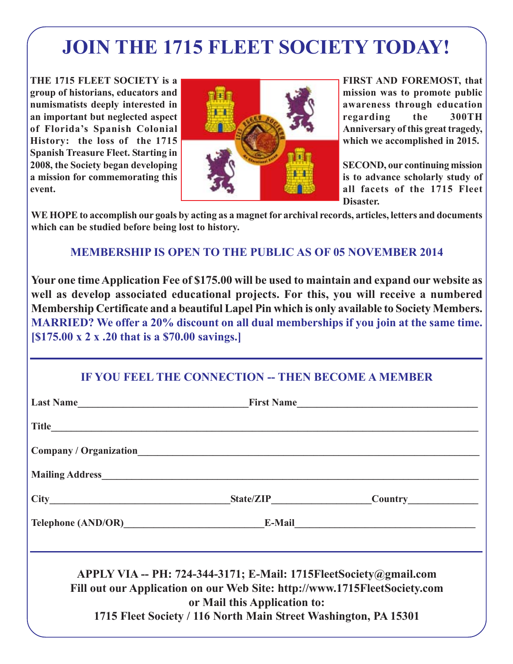# **JOIN THE 1715 FLEET SOCIETY TODAY!**

**THE 1715 FLEET SOCIETY is a group of historians, educators and numismatists deeply interested in an important but neglected aspect of Florida's Spanish Colonial History: the loss of the 1715 Spanish Treasure Fleet. Starting in 2008, the Society began developing a mission for commemorating this event.**



**FIRST AND FOREMOST, that mission was to promote public awareness through education regarding the 300TH Anniversary of this great tragedy, which we accomplished in 2015.**

**SECOND, our continuing mission is to advance scholarly study of all facets of the 1715 Fleet Disaster.**

**WE HOPE to accomplish our goals by acting as a magnet for archival records, articles, letters and documents which can be studied before being lost to history.**

### **MEMBERSHIP IS OPEN TO THE PUBLIC AS OF 05 NOVEMBER 2014**

**Your one time Application Fee of \$175.00 will be used to maintain and expand our website as well as develop associated educational projects. For this, you will receive a numbered Membership Certificate and a beautiful Lapel Pin which is only available to Society Members. MARRIED? We offer a 20% discount on all dual memberships if you join at the same time. [\$175.00 x 2 x .20 that is a \$70.00 savings.]**

## **IF YOU FEEL THE CONNECTION -- THEN BECOME A MEMBER**

| APPLY VIA -- PH: 724-344-3171; E-Mail: 1715FleetSociety@gmail.com<br>Fill out our Application on our Web Site: http://www.1715FleetSociety.com<br>or Mail this Application to:<br>1715 Fleet Society / 116 North Main Street Washington, PA 15301 |  |
|---------------------------------------------------------------------------------------------------------------------------------------------------------------------------------------------------------------------------------------------------|--|